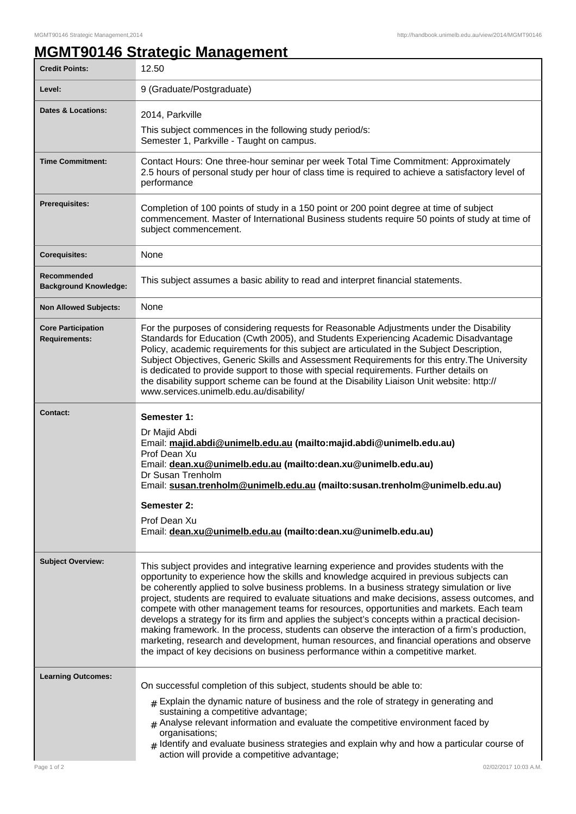## **MGMT90146 Strategic Management**

| <b>Credit Points:</b>                             | 12.50                                                                                                                                                                                                                                                                                                                                                                                                                                                                                                                                                                                                                                                                                                                                                                                                                                                                    |
|---------------------------------------------------|--------------------------------------------------------------------------------------------------------------------------------------------------------------------------------------------------------------------------------------------------------------------------------------------------------------------------------------------------------------------------------------------------------------------------------------------------------------------------------------------------------------------------------------------------------------------------------------------------------------------------------------------------------------------------------------------------------------------------------------------------------------------------------------------------------------------------------------------------------------------------|
| Level:                                            | 9 (Graduate/Postgraduate)                                                                                                                                                                                                                                                                                                                                                                                                                                                                                                                                                                                                                                                                                                                                                                                                                                                |
| <b>Dates &amp; Locations:</b>                     | 2014, Parkville                                                                                                                                                                                                                                                                                                                                                                                                                                                                                                                                                                                                                                                                                                                                                                                                                                                          |
|                                                   | This subject commences in the following study period/s:<br>Semester 1, Parkville - Taught on campus.                                                                                                                                                                                                                                                                                                                                                                                                                                                                                                                                                                                                                                                                                                                                                                     |
| <b>Time Commitment:</b>                           | Contact Hours: One three-hour seminar per week Total Time Commitment: Approximately<br>2.5 hours of personal study per hour of class time is required to achieve a satisfactory level of<br>performance                                                                                                                                                                                                                                                                                                                                                                                                                                                                                                                                                                                                                                                                  |
| <b>Prerequisites:</b>                             | Completion of 100 points of study in a 150 point or 200 point degree at time of subject<br>commencement. Master of International Business students require 50 points of study at time of<br>subject commencement.                                                                                                                                                                                                                                                                                                                                                                                                                                                                                                                                                                                                                                                        |
| <b>Corequisites:</b>                              | None                                                                                                                                                                                                                                                                                                                                                                                                                                                                                                                                                                                                                                                                                                                                                                                                                                                                     |
| Recommended<br><b>Background Knowledge:</b>       | This subject assumes a basic ability to read and interpret financial statements.                                                                                                                                                                                                                                                                                                                                                                                                                                                                                                                                                                                                                                                                                                                                                                                         |
| <b>Non Allowed Subjects:</b>                      | None                                                                                                                                                                                                                                                                                                                                                                                                                                                                                                                                                                                                                                                                                                                                                                                                                                                                     |
| <b>Core Participation</b><br><b>Requirements:</b> | For the purposes of considering requests for Reasonable Adjustments under the Disability<br>Standards for Education (Cwth 2005), and Students Experiencing Academic Disadvantage<br>Policy, academic requirements for this subject are articulated in the Subject Description,<br>Subject Objectives, Generic Skills and Assessment Requirements for this entry. The University<br>is dedicated to provide support to those with special requirements. Further details on<br>the disability support scheme can be found at the Disability Liaison Unit website: http://<br>www.services.unimelb.edu.au/disability/                                                                                                                                                                                                                                                       |
| Contact:                                          | Semester 1:<br>Dr Majid Abdi<br>Email: majid.abdi@unimelb.edu.au (mailto:majid.abdi@unimelb.edu.au)<br>Prof Dean Xu<br>Email: dean.xu@unimelb.edu.au (mailto:dean.xu@unimelb.edu.au)<br>Dr Susan Trenholm<br>Email: susan.trenholm@unimelb.edu.au (mailto:susan.trenholm@unimelb.edu.au)<br>Semester 2:<br>Prof Dean Xu<br>Email: dean.xu@unimelb.edu.au (mailto:dean.xu@unimelb.edu.au)                                                                                                                                                                                                                                                                                                                                                                                                                                                                                 |
| <b>Subject Overview:</b>                          | This subject provides and integrative learning experience and provides students with the<br>opportunity to experience how the skills and knowledge acquired in previous subjects can<br>be coherently applied to solve business problems. In a business strategy simulation or live<br>project, students are required to evaluate situations and make decisions, assess outcomes, and<br>compete with other management teams for resources, opportunities and markets. Each team<br>develops a strategy for its firm and applies the subject's concepts within a practical decision-<br>making framework. In the process, students can observe the interaction of a firm's production,<br>marketing, research and development, human resources, and financial operations and observe<br>the impact of key decisions on business performance within a competitive market. |
| <b>Learning Outcomes:</b>                         | On successful completion of this subject, students should be able to:                                                                                                                                                                                                                                                                                                                                                                                                                                                                                                                                                                                                                                                                                                                                                                                                    |
|                                                   | $_{\#}$ Explain the dynamic nature of business and the role of strategy in generating and<br>sustaining a competitive advantage;<br>$#$ Analyse relevant information and evaluate the competitive environment faced by<br>organisations;<br>$_{\rm H}$ Identify and evaluate business strategies and explain why and how a particular course of<br>action will provide a competitive advantage;                                                                                                                                                                                                                                                                                                                                                                                                                                                                          |
| Page 1 of 2                                       | 02/02/2017 10:03 A.M.                                                                                                                                                                                                                                                                                                                                                                                                                                                                                                                                                                                                                                                                                                                                                                                                                                                    |